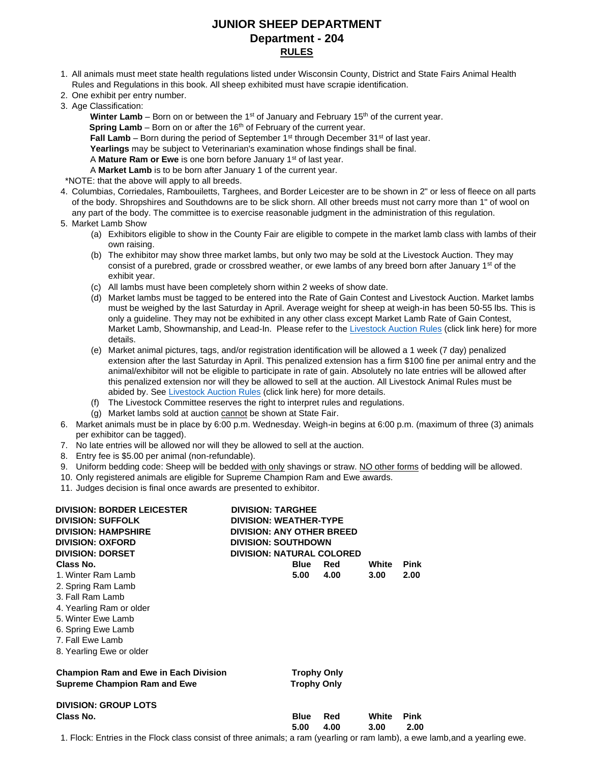# **JUNIOR SHEEP DEPARTMENT Department - 204 RULES**

- 1. All animals must meet state health regulations listed under Wisconsin County, District and State Fairs Animal Health Rules and Regulations in this book. All sheep exhibited must have scrapie identification.
- 2. One exhibit per entry number.
- 3. Age Classification:
	- **Winter Lamb** Born on or between the 1<sup>st</sup> of January and February 15<sup>th</sup> of the current year.

**Spring Lamb** – Born on or after the 16<sup>th</sup> of February of the current year.

- Fall Lamb Born during the period of September 1<sup>st</sup> through December 31<sup>st</sup> of last year.
- **Yearlings** may be subject to Veterinarian's examination whose findings shall be final.
- A **Mature Ram or Ewe** is one born before January 1<sup>st</sup> of last year.
- A **Market Lamb** is to be born after January 1 of the current year.

\*NOTE: that the above will apply to all breeds.

- 4. Columbias, Corriedales, Rambouiletts, Targhees, and Border Leicester are to be shown in 2" or less of fleece on all parts of the body. Shropshires and Southdowns are to be slick shorn. All other breeds must not carry more than 1" of wool on any part of the body. The committee is to exercise reasonable judgment in the administration of this regulation.
- 5. Market Lamb Show
	- (a) Exhibitors eligible to show in the County Fair are eligible to compete in the market lamb class with lambs of their own raising.
	- (b) The exhibitor may show three market lambs, but only two may be sold at the Livestock Auction. They may consist of a purebred, grade or crossbred weather, or ewe lambs of any breed born after January 1<sup>st</sup> of the exhibit year.
	- (c) All lambs must have been completely shorn within 2 weeks of show date.
	- (d) Market lambs must be tagged to be entered into the Rate of Gain Contest and Livestock Auction. Market lambs must be weighed by the last Saturday in April. Average weight for sheep at weigh-in has been 50-55 lbs. This is only a guideline. They may not be exhibited in any other class except Market Lamb Rate of Gain Contest, Market Lamb, Showmanship, and Lead-In. Please refer to the [Livestock Auction Rules](https://www.waukeshacountyfair.com/wp-content/uploads/2022/03/2022-LivestockAUCTIONRules.pdf) (click link here) for more details.
	- (e) Market animal pictures, tags, and/or registration identification will be allowed a 1 week (7 day) penalized extension after the last Saturday in April. This penalized extension has a firm \$100 fine per animal entry and the animal/exhibitor will not be eligible to participate in rate of gain. Absolutely no late entries will be allowed after this penalized extension nor will they be allowed to sell at the auction. All Livestock Animal Rules must be abid[e](https://www.waukeshacountyfair.com/wp-content/uploads/2019/01/2019-LivestockAUCTIONRules.pdf)d by. See [Livestock Auction Rules](https://www.waukeshacountyfair.com/wp-content/uploads/2022/03/2022-LivestockAUCTIONRules.pdf) (click link here) for more details.
	- (f) The Livestock Committee reserves the right to interpret rules and regulations.
	- (g) Market lambs sold at auction cannot be shown at State Fair.
- 6. Market animals must be in place by 6:00 p.m. Wednesday. Weigh-in begins at 6:00 p.m. (maximum of three (3) animals per exhibitor can be tagged).
- 7. No late entries will be allowed nor will they be allowed to sell at the auction.
- 8. Entry fee is \$5.00 per animal (non-refundable).
- 9. Uniform bedding code: Sheep will be bedded with only shavings or straw. NO other forms of bedding will be allowed.
- 10. Only registered animals are eligible for Supreme Champion Ram and Ewe awards.
- 11. Judges decision is final once awards are presented to exhibitor.

| <b>DIVISION: BORDER LEICESTER</b><br><b>DIVISION: SUFFOLK</b> | <b>DIVISION: TARGHEE</b><br><b>DIVISION: WEATHER-TYPE</b>      |                    |            |       |             |  |  |  |
|---------------------------------------------------------------|----------------------------------------------------------------|--------------------|------------|-------|-------------|--|--|--|
| <b>DIVISION: HAMPSHIRE</b><br><b>DIVISION: OXFORD</b>         | <b>DIVISION: ANY OTHER BREED</b><br><b>DIVISION: SOUTHDOWN</b> |                    |            |       |             |  |  |  |
| <b>DIVISION: DORSET</b>                                       | <b>DIVISION: NATURAL COLORED</b>                               |                    |            |       |             |  |  |  |
| Class No.                                                     |                                                                | <b>Blue</b>        | <b>Red</b> | White | <b>Pink</b> |  |  |  |
| 1. Winter Ram Lamb                                            |                                                                | 5.00               | 4.00       | 3.00  | 2.00        |  |  |  |
| 2. Spring Ram Lamb                                            |                                                                |                    |            |       |             |  |  |  |
| 3. Fall Ram Lamb                                              |                                                                |                    |            |       |             |  |  |  |
| 4. Yearling Ram or older                                      |                                                                |                    |            |       |             |  |  |  |
| 5. Winter Ewe Lamb                                            |                                                                |                    |            |       |             |  |  |  |
| 6. Spring Ewe Lamb                                            |                                                                |                    |            |       |             |  |  |  |
| 7. Fall Ewe Lamb                                              |                                                                |                    |            |       |             |  |  |  |
| 8. Yearling Ewe or older                                      |                                                                |                    |            |       |             |  |  |  |
| <b>Champion Ram and Ewe in Each Division</b>                  |                                                                | <b>Trophy Only</b> |            |       |             |  |  |  |
| <b>Supreme Champion Ram and Ewe</b>                           |                                                                | <b>Trophy Only</b> |            |       |             |  |  |  |
| <b>DIVISION: GROUP LOTS</b>                                   |                                                                |                    |            |       |             |  |  |  |
| Class No.                                                     |                                                                | <b>Blue</b>        | <b>Red</b> | White | <b>Pink</b> |  |  |  |
|                                                               |                                                                | 5.00               | 4.00       | 3.00  | 2.00        |  |  |  |
| .                                                             |                                                                |                    |            |       |             |  |  |  |

1. Flock: Entries in the Flock class consist of three animals; a ram (yearling or ram lamb), a ewe lamb,and a yearling ewe.